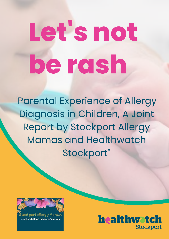# **Let's not be rash**

'Parental Experience of Allergy Diagnosis in Children, A Joint Report by Stockport Allergy Mamas and Healthwatch Stockport"



tockport Allergy Mamas stockportallergymamas@gmail.com

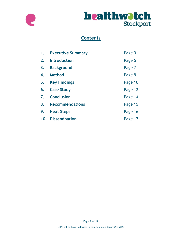



## **Contents**

| 1.           | <b>Executive Summary</b> | Page 3  |
|--------------|--------------------------|---------|
| 2.           | <b>Introduction</b>      | Page 5  |
| 3.           | <b>Background</b>        | Page 7  |
| 4.           | <b>Method</b>            | Page 9  |
| 5.           | <b>Key Findings</b>      | Page 10 |
| 6.           | <b>Case Study</b>        | Page 12 |
| $\mathbf{7}$ | <b>Conclusion</b>        | Page 14 |
| 8.           | <b>Recommendations</b>   | Page 15 |
| 9.           | <b>Next Steps</b>        | Page 16 |
| 10.          | <b>Dissemination</b>     | Page 17 |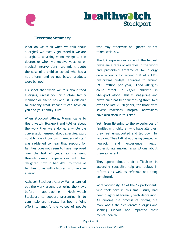

#### 1. Executive Summary

What do we think when we talk about allergies? We mostly get asked if we are allergic to anything when we go to the doctors or when we receive vaccines or medical interventions. We might quote the case of a child at school who has a nut allergy and so nut based products were banned.

I suspect that when we talk about food allergies, unless you or a close family member or friend has one, it is difficult to quantify what impact it can have on you and your family's life.

When Stockport Allergy Mamas came to Healthwatch Stockport and told us about the work they were doing, a whole big conversation ensued about allergies. Most notably one of our own members of staff was saddened to hear that support for families does not seem to have improved over the last 20 years, as she went through similar experiences with her daughter [now in her 20's] to those of families today with children who have an allergy.

Although Stockport Allergy Mamas carried out the work around gathering the views before approaching Healthwatch Stockport to support presenting it to commissioners it really has been a joint effort to amplify the voices of people who may otherwise be ignored or not taken seriously.

The UK experiences some of the highest prevalence rates of allergies in the world and prescribed treatments for allergy care accounts for around 10% of a GP's prescribing budget [equating to around £900 million per year]. Food allergies could affect up 23,500 children in Stockport alone. This is staggering and prevalence has been increasing three-fold over the last 20-30 years, for those with severe reactions, hospital admissions have also risen in this time.

Yet, from listening to the experiences of families with children who have allergies, they feel unsupported and let down by services. They talk about being treated as neurotic and experience health professionals making assumptions about them as parents.

They spoke about their difficulties in accessing specialist help and delays in referrals as well as referrals not being completed.

More worryingly, 12 of the 17 participants who took part in this small study had been diagnosed formally with depression. All quoting the process of finding out more about their children's allergies and seeking support had impacted their mental health.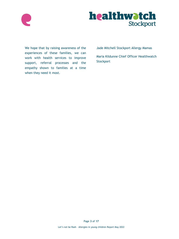

We hope that by raising awareness of the experiences of these families, we can work with health services to improve support, referral processes and the empathy shown to families at a time when they need it most.

Jade Mitchell Stockport Allergy Mamas

Maria Kildunne Chief Officer Healthwatch **Stockport**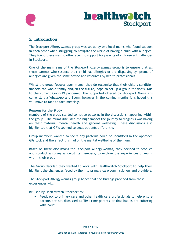

#### 2. Introduction

The Stockport Allergy Mamas group was set up by two local mums who found support in each other when struggling to navigate the world of having a child with allergies. They found there was no other specific support for parents of children with allergies in Stockport.

One of the main aims of the Stockport Allergy Mamas group is to ensure that all those parents who suspect their child has allergies or are displaying symptoms of allergies are given the same advice and resources by health professionals.

Whilst the group focuses upon mums, they do recognise that their child's condition impacts the whole family and, in the future, hope to set up a group for dad's. Due to the current Covid-19 pandemic, the supported offered by Stockport Mama's is currently via WhatsApp and Zoom, however in the coming months it is hoped this will move to face to face meetings.

#### **Reasons for the Study**

Members of the group started to notice patterns in the discussions happening within the group. The mums discussed the huge impact the journey to diagnosis was having on their maternal mental health and general wellbeing. These discussions also highlighted that GP's seemed to treat patients differently.

Group members wanted to see if any patterns could be identified in the approach GPs took and the affect this had on the mental wellbeing of the mum.

Based on these discussions the Stockport Allergy Mamas, they decided to produce and conduct a survey amongst its members, to explore the experiences of mums within their group.

The Group decided they wanted to work with Healthwatch Stockport to help them highlight the challenges faced by them to primary care commissioners and providers.

The Stockport Allergy Mamas group hopes that the findings provided from these experiences will:

Be used by Healthwatch Stockport to:

• Feedback to primary care and other health care professionals to help ensure parents are not dismissed as 'first time parents' or that babies are suffering with 'colic'.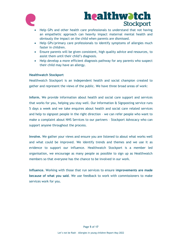

- Help GPs and other health care professionals to understand that not having an empathetic approach can heavily impact maternal mental health and obviously the impact on the child when parents are dismissed.
- Help GPs/primary care professionals to identify symptoms of allergies much faster in children.
- Ensure parents will be given consistent, high quality advice and resources, to assist them until their child's diagnosis.
- Help develop a more efficient diagnosis pathway for any parents who suspect their child may have an allergy.

#### **Healthwatch Stockport**

Healthwatch Stockport is an independent health and social champion created to gather and represent the views of the public. We have three broad areas of work:

**Inform.** We provide information about health and social care support and services that works for you, helping you stay well. Our Information & Signposting service runs 5 days a week and we take enquires about health and social care related services and help to signpost people in the right direction – we can refer people who want to make a complaint about NHS Services to our partners – Stockport Advocacy who can support anyone throughout the process.

**Involve.** We gather your views and ensure you are listened to about what works well and what could be improved. We identify trends and themes and we use it as evidence to support our influence. Healthwatch Stockport is a member led organisation, we encourage as many people as possible to sign up as Healthwatch members so that everyone has the chance to be involved in our work.

**Influence.** Working with those that run services to ensure i**mprovements are made because of what you said**. We use feedback to work with commissioners to make services work for you.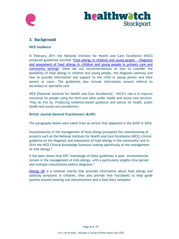



#### 3. Background

#### **NICE Guidance**

In February 2011 the National Institute for Health and Care Excellence (NICE) produced guidelines entitled '[Food allergy in children and young people](https://www.nice.org.uk/guidance/cg116/evidence/full-guideline-136470061) - Diagnosis [and assessment of food allergy in children and young people in](https://www.nice.org.uk/guidance/cg116/evidence/full-guideline-136470061) primary care and [community settings](https://www.nice.org.uk/guidance/cg116/evidence/full-guideline-136470061)' these set out recommendations on how to consider the possibility of food allergy in children and young people, the diagnosis pathway and how to provide information and support to the child or young person and their parent or carer. The guidelines also include information around referral to secondary or specialist care

NICE [National Institute for Health and Care Excellence] - NICE's role is to improve outcomes for people using the NHS and other public health and social care services. They do this by: Producing evidence-based guidance and advice for health, public health and social care practitioners

#### **British Journal General Practitioners (BJGP)**

The paragraphs below were taken from an article that appeared in the BJGP in 2016:

Inconsistencies in the management of food allergy prompted the commissioning of projects such as the National Institute for Health and Care Excellence (NICE) clinical guideline on the diagnosis and assessment of food allergy in the community<sup>[1](https://www.ncbi.nlm.nih.gov/pmc/articles/PMC4979917/#b1)</sup> and in 2014 the NICE Clinical Knowledge Summary looking specifically at the management of milk allergy.<sup>[3](https://www.ncbi.nlm.nih.gov/pmc/articles/PMC4979917/#b3)</sup>

It has been shown that GPs' knowledge of these guidelines is poor. Inconsistencies remain in the management of milk allergy, with a particularly lengthy time period and multiple consultations before diagnosis[.](https://www.ncbi.nlm.nih.gov/pmc/articles/PMC4979917/#b4)<sup>4</sup>

[Allergy](https://www.allergyuk.org/information-and-advice/conditions-and-symptoms/42-childhood-food-allergy) UK is a national charity that provides information about food allergy and spotting symptoms in children, they also provide free Factsheets to help guide parents around weaning and immunisations and a food diary template.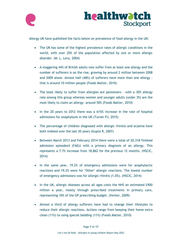



Allergy UK have published the facts below on prevalence of food allergy in the UK:

- The UK has some of the highest prevalence rates of allergic conditions in the world, with over 20% of the population affected by one or more allergic disorder. (M. L. Levy, 2004)
- A staggering 44% of British adults now suffer from at least one allergy and the number of sufferers is on the rise, growing by around 2 million between 2008 and 2009 alone. Almost half (48%) of sufferers have more than one allergy – that is around 10 million people (Foods Matter, 2010)
- The least likely to suffer from allergies are pensioners with a 30% allergy rate among this group whereas women and younger adults (under 35) are the most likely to claim an allergy- around 50% (Foods Matter, 2010)
- In the 20 years to 2012 there was a 615% increase in the rate of hospital admissions for anaphylaxis in the UK (Turner PJ, 2015)
- The percentage of children diagnosed with allergic rhinitis and eczema have both trebled over the last 30 years (Gupta R, 2007)
- Between March 2013 and February 2014 there were a total of 20,318 finished admission episodes4 (FAEs) with a primary diagnosis of an allergy. This represents a 7.7% increase from 18,862 for the previous 12 months. (HSCIC, 2014)
- In the same year, 19.2% of emergency admissions were for anaphylactic reactions and 19.2% were for 'Other' allergic reactions. The lowest number of emergency admissions was for allergic rhinitis (1.0%). (HSCIC, 2014)
- In the UK, allergic diseases across all ages costs the NHS an estimated £900 million a year, mostly through prescribed treatments in primary care, representing 10% of the GP prescribing budget. (Venter, 2009)
- Almost a third of allergy sufferers have had to change their lifestyles to reduce their allergic reactions. Actions range from keeping their home extra clean (11%) to using special bedding (11%) (Foods Matter, 2010)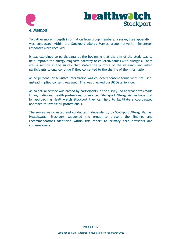

To gather more in-depth information from group members, a survey [see appendix i] was conducted within the Stockport Allergy Mamas group network. Seventeen responses were received.

It was explained to participants at the beginning that the aim of the study was to help improve the allergy diagnosis pathway of children/babies with allergies. There was a section in the survey that stated the purpose of the research and asked participants to only continue if they consented to the sharing of the information.

As no personal or sensitive information was collected consent forms were not used, instead implied consent was used. This was checked via UK Data Service.

As no actual service was named by participants in the survey, no approach was made to any individual health professional or service. Stockport Allergy Mamas hope that by approaching Healthwatch Stockport they can help to facilitate a coordinated approach to involve all professionals.

The survey was created and conducted independently by Stockport Allergy Mamas, Healthwatch Stockport supported the group to present the findings and recommendations identified within this report to primary care providers and commissioners.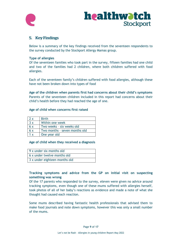



#### 5. Key Findings

Below is a summary of the key findings received from the seventeen respondents to the survey conducted by the Stockport Allergy Mamas group.

#### **Type of allergies**

Of the seventeen families who took part in the survey, fifteen families had one child and two of the families had 2 children, where both children suffered with food allergies.

Each of the seventeen family's children suffered with food allergies, although these have not been broken down into types of food

**Age of the children when parents first had concerns about their child's symptoms** Parents of the seventeen children included in this report had concerns about their child's health before they had reached the age of one.

#### **Age of child when concerns first raised**

| 2x  | <b>Birth</b>                  |  |
|-----|-------------------------------|--|
| 3x  | Within one week               |  |
| 6x  | Two weeks - six weeks old     |  |
| 6x  | Two months - seven months old |  |
| 1 x | One year old                  |  |

#### **Age of child when they received a diagnosis**

| 9 x under six months old      |
|-------------------------------|
| 6 x under twelve months old   |
| 3 x under eighteen months old |

#### **Tracking symptoms and advice from the GP on initial visit on suspecting something was wrong**

Of the 17 parents who responded to the survey, eleven were given no advice around tracking symptoms, even though one of these mums suffered with allergies herself, took photos of all of her baby's reactions as evidence and made a note of what she thought had caused each reaction.

Some mums described having fantastic health professionals that advised them to make food journals and note down symptoms, however this was only a small number of the mums.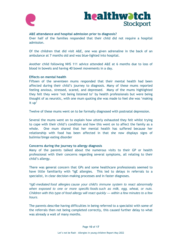



#### **A&E attendance and hospital admission prior to diagnosis?**

Over half of the families responded that their child did not require a hospital admission.

Of the children that did visit A&E, one was given adrenaline in the back of an ambulance at 7 months old and was blue-lighted into hospital.

Another child following NHS 111 advice attended A&E at 6 months due to loss of blood in bowels and having 40 bowel movements in a day.

#### **Effects on mental health**

Fifteen of the seventeen mums responded that their mental health had been affected during their child's journey to diagnosis. Many of these mums reported feeling anxious, stressed, scared, and depressed. Many of the mums highlighted they felt they were 'not being listened to' by health professionals but were being thought of as neurotic, with one mum quoting she was made to feel she was 'making it up'

Twelve of these mums went on to be formally diagnosed with postnatal depression.

Several the mums went on to explain how utterly exhausted they felt whilst trying to cope with their child's condition and how this went on to affect the family as a whole. One mum shared that her mental health has suffered because her relationship with food has been affected in that she now displays signs of bulimia/binge eating disorder

#### **Concerns during the journey to allergy diagnosis**

Many of the parents talked about the numerous visits to their GP or health professional with their concerns regarding several symptoms, all relating to their child's allergy.

There was general concern that GPs and some healthcare professionals seemed to have little familiarity with \*IgE allergies. This led to delays in referrals to a specialist, in clear decision-making processes and in faster diagnoses.

*\*IgE-mediated food allergies cause your child's immune system to react abnormally when exposed to one or more specific foods such as milk, egg, wheat, or nuts. Children with this type of food allergy will react quickly — within a few minutes to a few hours*.

The parents describe having difficulties in being referred to a specialist with some of the referrals then not being completed correctly, this caused further delay to what was already a wait of many months.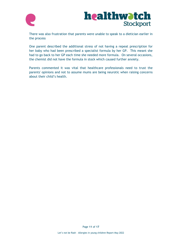

There was also frustration that parents were unable to speak to a dietician earlier in the process

One parent described the additional stress of not having a repeat prescription for her baby who had been prescribed a specialist formula by her GP. This meant she had to go back to her GP each time she needed more formula. On several occasions, the chemist did not have the formula in stock which caused further anxiety.

Parents commented it was vital that healthcare professionals need to trust the parents' opinions and not to assume mums are being neurotic when raising concerns about their child's health.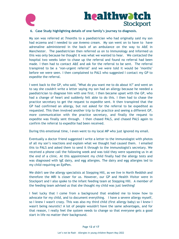

#### **6. Case Study highlighting details of one family's journey to diagnosis.**

My son was referred at 7months to a paediatrician who had originally said my son had eczema and I needed to use Aveeno cream. My son went on to have to have adrenaline administered in the back of an ambulance on the way to A&E in Manchester. The paediatrician then referred us on to Immunology and informed us this was only because he thought it was what we wanted to hear. We contacted the hospital two weeks later to chase up the referral and found no referral had been made. I then had to contact A&E and ask for the referral to be sent. The referral transpired to be a 'non-urgent referral' and we were told it would be "months" before we were seen. I then complained to PALS who suggested I contact my GP to expedite the referral.

I went back to the GP, who said, "What do you want me to do about it?" and went on to say she couldn't write a letter saying my son had an allergy because he needed a paediatrician to diagnose him with one first. I then became upset with the GP, who had a change of heart and suddenly felt able to do this. I then had to chase the practice secretary to get the request to expedite sent. It then transpired that the GP had confirmed an allergy, but not asked for the referral to be expedited as requested. This then involved another trip to the practice and seeing a different GP, more communication with the practice secretary, and finally the request to expedite was finally sent through. I then chased PALS, and chased PALS again to confirm the referral to expedite had been received.

During this emotional time, I even went to my local MP who just ignored my email.

Eventually a doctor friend suggested I write a letter to the immunologist with photos of all my son's reactions and explain what we thought had caused them. I emailed this to PALS and asked them to send it through to the immunologist's secretary. We received a phone call the following week and was told they were squeezing us in at the end of a clinic. At this appointment my child finally had the allergy tests and was diagnosed with IgE dairy, and egg allergies. The dairy and egg allergies led to my child requiring an EpiPen.

We didn't see the allergy specialists at Stepping Hill, as we live in North Reddish and therefore the MRI is closer for us. However, our GP and Health Visitor were in Stockport and I also spoke to the infant feeding team at Stepping Hill. A member of the feeding team advised us that she thought my child was just teething!

I feel lucky that I come from a background that enabled me to know how to advocate for my child, and to document everything. I have a severe allergy myself, so I knew I wasn't crazy. This was also my third child (first allergy baby) so I knew I wasn't being neurotic! A lot of people wouldn't have the same advantages, and for that reason, I really feel the system needs to change so that everyone gets a good start in life no matter their background.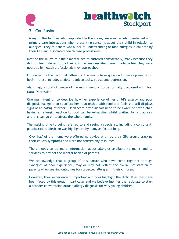

#### 7. Conclusion

Many of the families who responded to the survey were extremely dissatisfied with primary care interactions when presenting concerns about their child in relation to allergies. They felt there was a lack of understanding of food allergies in children by their GPs and associated health care professionals.

Most of the mums felt their mental health suffered considerably, many because they did not feel listened to by their GPs. Mums described being made to feel they were neurotic by health professionals they approached.

Of concern is the fact that fifteen of the mums have gone on to develop mental ill health, these include, anxiety, panic attacks, stress, and depression.

Alarmingly a total of twelve of the mums went on to be formally diagnosed with Post Natal Depression.

One mum went on to describe how her experience of her child's allergy and poor diagnosis has gone on to affect her relationship with food and feels she still displays signs of an eating disorder. Healthcare professionals need to be aware of how a child having an allergic reaction to food can be exhausting whilst waiting for a diagnosis and this can go on to affect the whole family.

The waiting time to being referred to and seeing a specialist, including a consultant, paediatrician, dietician was highlighted by many as far too long.

Over half of the mums were offered no advice at all by their GPs around tracking their child's symptoms and were not offered any resources.

There needs to be more information about allergies available to mums and to services to protect the mental health of parents.

We acknowledge that a group of this nature who have come together through synergies of poor experience, may or may not reflect the overall satisfaction of parents when seeking outcomes for suspected allergies in their children.

However, their experience is important and does highlight the difficulties that have been faced by this group in particular and we believe justifies the rationale to start a broader conversation around allergy diagnosis for very young children.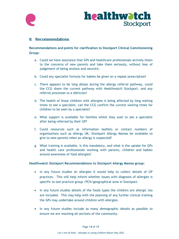



#### 8. Recommendations

**Recommendations and points for clarification to Stockport Clinical Commissioning Group:**

- a. Could we have assurance that GPs and healthcare professionals actively listen to the concerns of new parents and take them seriously, without fear of judgement of being anxious and neurotic.
- b. Could any specialist formula for babies be given on a repeat prescription?
- c. There appears to be long delays during the allergy referral pathway, could the CCG share the current pathway with Healthwatch Stockport, and any referral processes to a dietician?
- d. The health of those children with allergies is being affected by long waiting times to see a specialist, can the CCG confirm the current waiting times for children to be seen by a specialist?
- e. What support is available for families whilst they wait to see a specialist after being referred by their GP?
- f. Could resources such as information leaflets or contact numbers of organisations such as Allergy UK, Stockport Allergy Mamas be available to give to new parents when an allergy is suspected?
- g. What training is available, is this mandatory, and what is the uptake for GPs and health care professionals working with parents, children and babies around awareness of food allergies?

#### **Healthwatch Stockport Recommendations to Stockport Allergy Mamas group:**

- In any future studies on allergies it would help to collect details of GP practices. This will help inform whether issues with diagnosis of allergies is specific to one practice group /PCN/geographical area in Stockport.
- In any future studies details of the foods types the children are allergic too are included. This may help with the planning of any further clinical training the GPs may undertake around children with allergies.
- In any future studies include as many demographic details as possible to ensure we are reaching all sections of the community.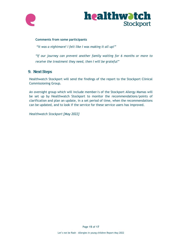

#### **Comments from some participants**

*"It was a nightmare! I felt like I was making it all up!"* 

*"If our journey can prevent another family waiting for 6 months or more to receive the treatment they need, then I will be grateful"*

#### 9. Next Steps

Healthwatch Stockport will send the findings of the report to the Stockport Clinical Commissioning Group.

An oversight group which will include member/s of the Stockport Allergy Mamas will be set up by Healthwatch Stockport to monitor the recommendations/points of clarification and plan an update, in a set period of time, when the recommendations can be updated, and to look if the service for these service users has improved.

*Healthwatch Stockport [May 2022]*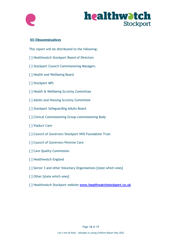



#### 10. Dissemination

This report will be distributed to the following:

- [ ] Healthwatch Stockport Board of Directors
- [ ] Stockport Council Commissioning Managers
- [ ] Health and Wellbeing Board
- [ ] Stockport MPs
- [ ] Health & Wellbeing Scrutiny Committee
- [ ] Adults and Housing Scrutiny Committee
- [ ] Stockport Safeguarding Adults Board
- [ ] Clinical Commissioning Group commissioning Body
- [ ] Viaduct Care
- [ ] Council of Governors Stockport NHS Foundation Trust
- [ ] Council of Governors Pennine Care
- [ ] Care Quality Commission
- [ ] Healthwatch England
- [ ] Sector 3 and other Voluntary Organisations [state which ones]
- [ ] Other [state which ones]
- [ ] Healthwatch Stockport website **[www.healthwatchstockport.co.uk](http://www.healthwatchstockport.co.uk/)**